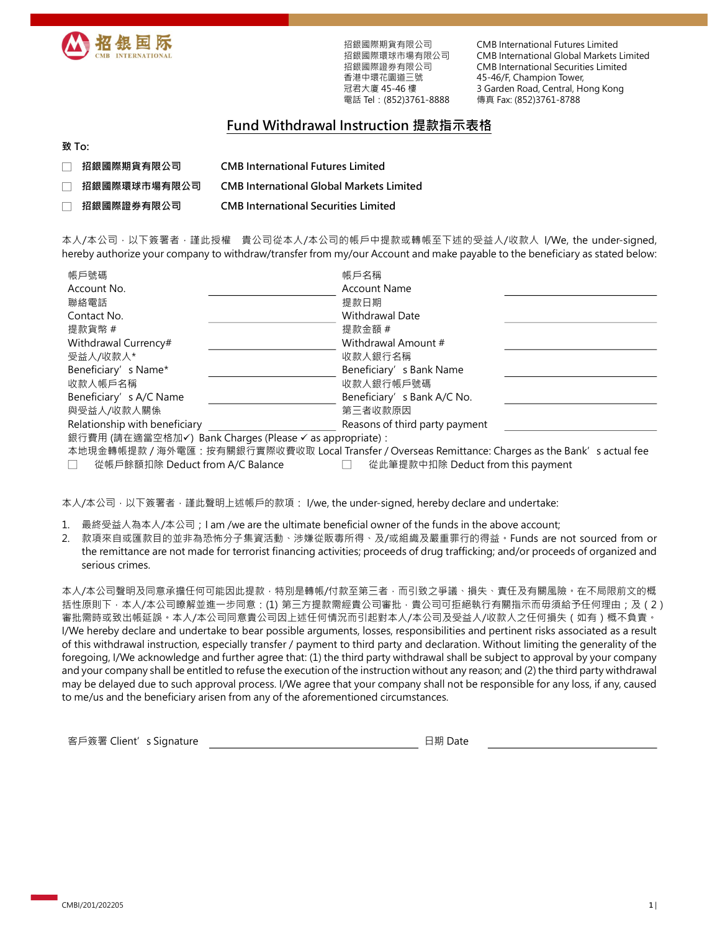

招銀國際期貨有限公司 招銀國際環球市場有限公司 招銀國際證券有限公司 香港中環花園道三號 冠君大廈 45-46 樓

CMB International Futures Limited CMB International Global Markets Limited CMB International Securities Limited 45-46/F, Champion Tower, 3 Garden Road, Central, Hong Kong 電話 Tel: (852)3761-8888 傳真 Fax: (852)3761-8788

## Fund Withdrawal Instruction 提款指示表格

## 致 To:

- □ 招銀國際期貨有限公司 CMB International Futures Limited
- □ 招銀國際環球市場有限公司 CMB International Global Markets Limited
- □ 招銀國際證券有限公司 CMB International Securities Limited

本人/本公司,以下簽署者,謹此授權 貴公司從本人/本公司的帳戶中提款或轉帳至下述的受益人/收款人 I/We, the under-signed, hereby authorize your company to withdraw/transfer from my/our Account and make payable to the beneficiary as stated below:

| 帳戶號碼                                                     | 帳戶名稱                           |  |  |  |  |
|----------------------------------------------------------|--------------------------------|--|--|--|--|
| Account No.                                              | <b>Account Name</b>            |  |  |  |  |
| 聯絡電話                                                     | 提款日期                           |  |  |  |  |
| Contact No.                                              | Withdrawal Date                |  |  |  |  |
| 提款貨幣 #                                                   | 提款金額 #                         |  |  |  |  |
| Withdrawal Currency#                                     | Withdrawal Amount #            |  |  |  |  |
| 受益人/收款人*                                                 | 收款人銀行名稱                        |  |  |  |  |
| Beneficiary's Name*                                      | Beneficiary's Bank Name        |  |  |  |  |
| 收款人帳戶名稱                                                  | 收款人銀行帳戶號碼                      |  |  |  |  |
| Beneficiary's A/C Name                                   | Beneficiary's Bank A/C No.     |  |  |  |  |
| 與受益人/收款人關係                                               | 第三者收款原因                        |  |  |  |  |
| Relationship with beneficiary                            | Reasons of third party payment |  |  |  |  |
| 銀行費用 (請在適當空格加√) Bank Charges (Please √ as appropriate) : |                                |  |  |  |  |

本地現金轉帳提款 / 海外電匯: 按有關銀行實際收費收取 Local Transfer / Overseas Remittance: Charges as the Bank's actual fee □ 從帳戶餘額扣除 Deduct from A/C Balance □ 從此筆提款中扣除 Deduct from this payment

本人/本公司, 以下簽署者, 謹此聲明上述帳戶的款項: I/we, the under-signed, hereby declare and undertake:

1. 最終受益人為本人/本公司;I am /we are the ultimate beneficial owner of the funds in the above account;

2. 款項來自或匯款目的並非為恐怖分子集資活動、涉嫌從販毒所得、及/或組織及嚴重罪行的得益。Funds are not sourced from or the remittance are not made for terrorist financing activities; proceeds of drug trafficking; and/or proceeds of organized and serious crimes.

本人/本公司聲明及同意承擔任何可能因此提款﹐特別是轉帳/付款至第三者﹐而引致之爭議﹑損失﹑責任及有關風險。在不局限前文的概 括性原則下,本人/本公司瞭解並進一步同意:(1) 第三方提款需經貴公司審批,貴公司可拒絕執行有關指示而毋須給予任何理由;及(2) 審批需時或致出帳延誤。本人/本公司同意貴公司因上述任何情況而引起對本人/本公司及受益人/收款人之任何損失(如有)概不負責。 I/We hereby declare and undertake to bear possible arguments, losses, responsibilities and pertinent risks associated as a result of this withdrawal instruction, especially transfer / payment to third party and declaration. Without limiting the generality of the foregoing, I/We acknowledge and further agree that: (1) the third party withdrawal shall be subject to approval by your company and your company shall be entitled to refuse the execution of the instruction without any reason; and (2) the third party withdrawal may be delayed due to such approval process. I/We agree that your company shall not be responsible for any loss, if any, caused to me/us and the beneficiary arisen from any of the aforementioned circumstances.

客戶簽署 Client's Signature **Example 2** and the Date of Building Bate